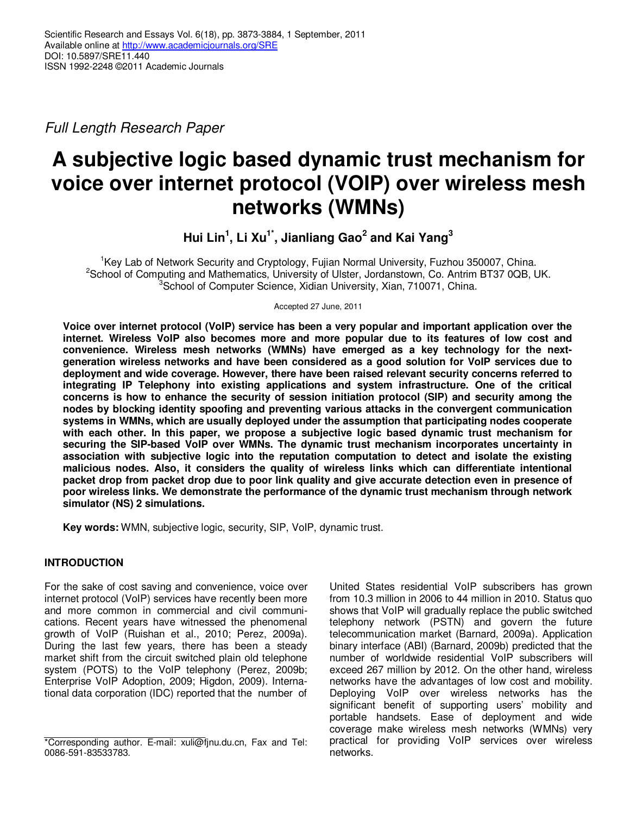Full Length Research Paper

# **A subjective logic based dynamic trust mechanism for voice over internet protocol (VOIP) over wireless mesh networks (WMNs)**

**Hui Lin<sup>1</sup> , Li Xu1\*, Jianliang Gao<sup>2</sup> and Kai Yang<sup>3</sup>**

<sup>1</sup>Key Lab of Network Security and Cryptology, Fujian Normal University, Fuzhou 350007, China. <sup>2</sup>School of Computing and Mathematics, University of Ulster, Jordanstown, Co. Antrim BT37 0QB, UK. <sup>3</sup>School of Computer Science, Xidian University, Xian, 710071, China.

Accepted 27 June, 2011

**Voice over internet protocol (VoIP) service has been a very popular and important application over the internet. Wireless VoIP also becomes more and more popular due to its features of low cost and convenience. Wireless mesh networks (WMNs) have emerged as a key technology for the nextgeneration wireless networks and have been considered as a good solution for VoIP services due to deployment and wide coverage. However, there have been raised relevant security concerns referred to integrating IP Telephony into existing applications and system infrastructure. One of the critical concerns is how to enhance the security of session initiation protocol (SIP) and security among the nodes by blocking identity spoofing and preventing various attacks in the convergent communication systems in WMNs, which are usually deployed under the assumption that participating nodes cooperate with each other. In this paper, we propose a subjective logic based dynamic trust mechanism for securing the SIP-based VoIP over WMNs. The dynamic trust mechanism incorporates uncertainty in association with subjective logic into the reputation computation to detect and isolate the existing malicious nodes. Also, it considers the quality of wireless links which can differentiate intentional packet drop from packet drop due to poor link quality and give accurate detection even in presence of poor wireless links. We demonstrate the performance of the dynamic trust mechanism through network simulator (NS) 2 simulations.** 

**Key words:** WMN, subjective logic, security, SIP, VoIP, dynamic trust.

# **INTRODUCTION**

For the sake of cost saving and convenience, voice over internet protocol (VoIP) services have recently been more and more common in commercial and civil communications. Recent years have witnessed the phenomenal growth of VoIP (Ruishan et al., 2010; Perez, 2009a). During the last few years, there has been a steady market shift from the circuit switched plain old telephone system (POTS) to the VoIP telephony (Perez, 2009b; Enterprise VoIP Adoption, 2009; Higdon, 2009). International data corporation (IDC) reported that the number of United States residential VoIP subscribers has grown from 10.3 million in 2006 to 44 million in 2010. Status quo shows that VoIP will gradually replace the public switched telephony network (PSTN) and govern the future telecommunication market (Barnard, 2009a). Application binary interface (ABI) (Barnard, 2009b) predicted that the number of worldwide residential VoIP subscribers will exceed 267 million by 2012. On the other hand, wireless networks have the advantages of low cost and mobility. Deploying VoIP over wireless networks has the significant benefit of supporting users' mobility and portable handsets. Ease of deployment and wide coverage make wireless mesh networks (WMNs) very practical for providing VoIP services over wireless networks.

<sup>\*</sup>Corresponding author. E-mail: xuli@fjnu.du.cn, Fax and Tel: 0086-591-83533783.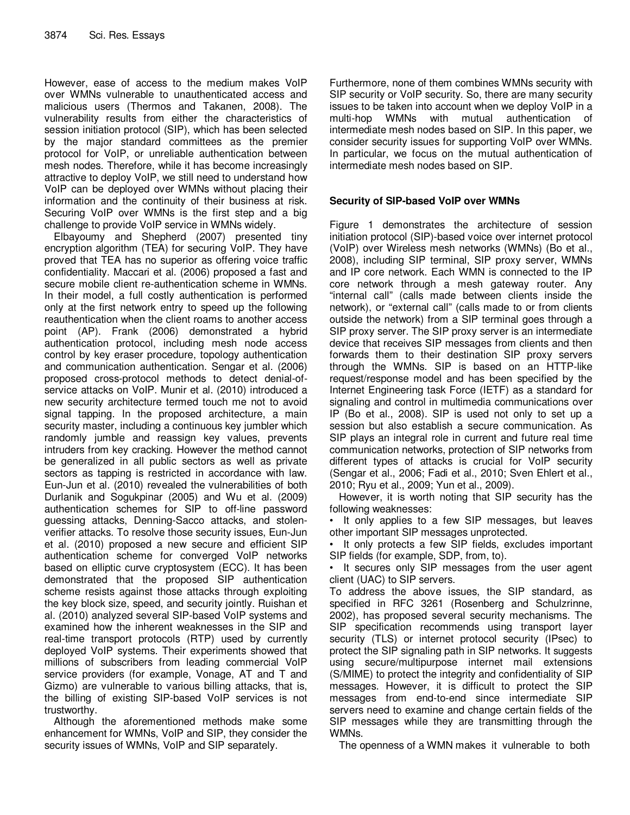However, ease of access to the medium makes VoIP over WMNs vulnerable to unauthenticated access and malicious users (Thermos and Takanen, 2008). The vulnerability results from either the characteristics of session initiation protocol (SIP), which has been selected by the major standard committees as the premier protocol for VoIP, or unreliable authentication between mesh nodes. Therefore, while it has become increasingly attractive to deploy VoIP, we still need to understand how VoIP can be deployed over WMNs without placing their information and the continuity of their business at risk. Securing VoIP over WMNs is the first step and a big challenge to provide VoIP service in WMNs widely.

Elbayoumy and Shepherd (2007) presented tiny encryption algorithm (TEA) for securing VoIP. They have proved that TEA has no superior as offering voice traffic confidentiality. Maccari et al. (2006) proposed a fast and secure mobile client re-authentication scheme in WMNs. In their model, a full costly authentication is performed only at the first network entry to speed up the following reauthentication when the client roams to another access point (AP). Frank (2006) demonstrated a hybrid authentication protocol, including mesh node access control by key eraser procedure, topology authentication and communication authentication. Sengar et al. (2006) proposed cross-protocol methods to detect denial-ofservice attacks on VoIP. Munir et al. (2010) introduced a new security architecture termed touch me not to avoid signal tapping. In the proposed architecture, a main security master, including a continuous key jumbler which randomly jumble and reassign key values, prevents intruders from key cracking. However the method cannot be generalized in all public sectors as well as private sectors as tapping is restricted in accordance with law. Eun-Jun et al. (2010) revealed the vulnerabilities of both Durlanik and Sogukpinar (2005) and Wu et al. (2009) authentication schemes for SIP to off-line password guessing attacks, Denning-Sacco attacks, and stolenverifier attacks. To resolve those security issues, Eun-Jun et al. (2010) proposed a new secure and efficient SIP authentication scheme for converged VoIP networks based on elliptic curve cryptosystem (ECC). It has been demonstrated that the proposed SIP authentication scheme resists against those attacks through exploiting the key block size, speed, and security jointly. Ruishan et al. (2010) analyzed several SIP-based VoIP systems and examined how the inherent weaknesses in the SIP and real-time transport protocols (RTP) used by currently deployed VoIP systems. Their experiments showed that millions of subscribers from leading commercial VoIP service providers (for example, Vonage, AT and T and Gizmo) are vulnerable to various billing attacks, that is, the billing of existing SIP-based VoIP services is not trustworthy.

Although the aforementioned methods make some enhancement for WMNs, VoIP and SIP, they consider the security issues of WMNs, VoIP and SIP separately.

Furthermore, none of them combines WMNs security with SIP security or VoIP security. So, there are many security issues to be taken into account when we deploy VoIP in a multi-hop WMNs with mutual authentication of intermediate mesh nodes based on SIP. In this paper, we consider security issues for supporting VoIP over WMNs. In particular, we focus on the mutual authentication of intermediate mesh nodes based on SIP.

## **Security of SIP-based VoIP over WMNs**

Figure 1 demonstrates the architecture of session initiation protocol (SIP)-based voice over internet protocol (VoIP) over Wireless mesh networks (WMNs) (Bo et al., 2008), including SIP terminal, SIP proxy server, WMNs and IP core network. Each WMN is connected to the IP core network through a mesh gateway router. Any "internal call" (calls made between clients inside the network), or "external call" (calls made to or from clients outside the network) from a SIP terminal goes through a SIP proxy server. The SIP proxy server is an intermediate device that receives SIP messages from clients and then forwards them to their destination SIP proxy servers through the WMNs. SIP is based on an HTTP-like request/response model and has been specified by the Internet Engineering task Force (IETF) as a standard for signaling and control in multimedia communications over IP (Bo et al., 2008). SIP is used not only to set up a session but also establish a secure communication. As SIP plays an integral role in current and future real time communication networks, protection of SIP networks from different types of attacks is crucial for VoIP security (Sengar et al., 2006; Fadi et al., 2010; Sven Ehlert et al., 2010; Ryu et al., 2009; Yun et al., 2009).

However, it is worth noting that SIP security has the following weaknesses:

It only applies to a few SIP messages, but leaves other important SIP messages unprotected.

• It only protects a few SIP fields, excludes important SIP fields (for example, SDP, from, to).

• It secures only SIP messages from the user agent client (UAC) to SIP servers.

To address the above issues, the SIP standard, as specified in RFC 3261 (Rosenberg and Schulzrinne, 2002), has proposed several security mechanisms. The SIP specification recommends using transport layer security (TLS) or internet protocol security (IPsec) to protect the SIP signaling path in SIP networks. It suggests using secure/multipurpose internet mail extensions (S/MIME) to protect the integrity and confidentiality of SIP messages. However, it is difficult to protect the SIP messages from end-to-end since intermediate SIP servers need to examine and change certain fields of the SIP messages while they are transmitting through the WMNs.

The openness of a WMN makes it vulnerable to both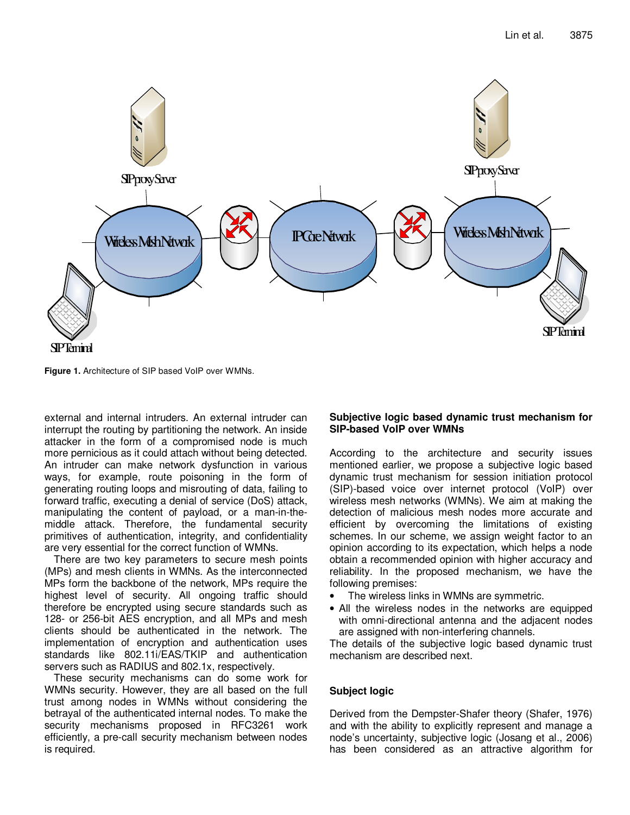

**Figure 1.** Architecture of SIP based VoIP over WMNs.

external and internal intruders. An external intruder can interrupt the routing by partitioning the network. An inside attacker in the form of a compromised node is much more pernicious as it could attach without being detected. An intruder can make network dysfunction in various ways, for example, route poisoning in the form of generating routing loops and misrouting of data, failing to forward traffic, executing a denial of service (DoS) attack, manipulating the content of payload, or a man-in-themiddle attack. Therefore, the fundamental security primitives of authentication, integrity, and confidentiality are very essential for the correct function of WMNs.

There are two key parameters to secure mesh points (MPs) and mesh clients in WMNs. As the interconnected MPs form the backbone of the network, MPs require the highest level of security. All ongoing traffic should therefore be encrypted using secure standards such as 128- or 256-bit AES encryption, and all MPs and mesh clients should be authenticated in the network. The implementation of encryption and authentication uses standards like 802.11i/EAS/TKIP and authentication servers such as RADIUS and 802.1x, respectively.

These security mechanisms can do some work for WMNs security. However, they are all based on the full trust among nodes in WMNs without considering the betrayal of the authenticated internal nodes. To make the security mechanisms proposed in RFC3261 work efficiently, a pre-call security mechanism between nodes is required.

## **Subjective logic based dynamic trust mechanism for SIP-based VoIP over WMNs**

According to the architecture and security issues mentioned earlier, we propose a subjective logic based dynamic trust mechanism for session initiation protocol (SIP)-based voice over internet protocol (VoIP) over wireless mesh networks (WMNs). We aim at making the detection of malicious mesh nodes more accurate and efficient by overcoming the limitations of existing schemes. In our scheme, we assign weight factor to an opinion according to its expectation, which helps a node obtain a recommended opinion with higher accuracy and reliability. In the proposed mechanism, we have the following premises:

- The wireless links in WMNs are symmetric.
- All the wireless nodes in the networks are equipped with omni-directional antenna and the adjacent nodes are assigned with non-interfering channels.

The details of the subjective logic based dynamic trust mechanism are described next.

# **Subject logic**

Derived from the Dempster-Shafer theory (Shafer, 1976) and with the ability to explicitly represent and manage a node's uncertainty, subjective logic (Josang et al., 2006) has been considered as an attractive algorithm for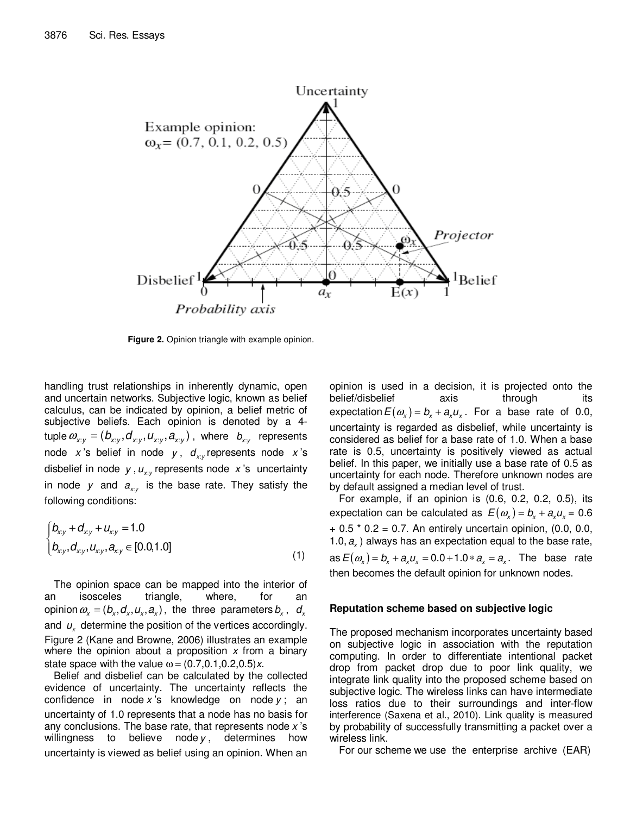

**Figure 2.** Opinion triangle with example opinion.

handling trust relationships in inherently dynamic, open and uncertain networks. Subjective logic, known as belief calculus, can be indicated by opinion, a belief metric of subjective beliefs. Each opinion is denoted by a 4 tuple  $\bm{\omega}_{x:y} = (\bm{b}_{x:y}, \bm{d}_{x:y}, \bm{d}_{x:y}, \bm{a}_{x:y})$  , where  $\bm{b}_{x:y}$  represents node x's belief in node y,  $d_{xy}$  represents node x's disbelief in node y,  $u_{xy}$  represents node x's uncertainty in node y and  $a_{xy}$  is the base rate. They satisfy the following conditions:

$$
\begin{cases}\n b_{xy} + d_{xy} + u_{xy} = 1.0 \\
 b_{xy}, d_{xy}, u_{xy}, a_{xy} \in [0.0, 1.0]\n\end{cases}
$$
\n(1)

The opinion space can be mapped into the interior of an isosceles triangle, where, for an opinion  $\bm{\omega}_{\sf x}$  =  $(\bm{b}_{\sf x},\bm{d}_{\sf x},\bm{\mathcal{u}}_{\sf x},\bm{a}_{\sf x})$  , the three parameters  $\bm{b}_{\sf x}$  ,  $\bm{d}_{\sf x}$ and  $u_{\mathsf{x}}$  determine the position of the vertices accordingly. Figure 2 (Kane and Browne, 2006) illustrates an example where the opinion about a proposition  $x$  from a binary state space with the value  $\omega = (0.7, 0.1, 0.2, 0.5)x$ .

Belief and disbelief can be calculated by the collected evidence of uncertainty. The uncertainty reflects the confidence in node x's knowledge on node  $y$ ; an uncertainty of 1.0 represents that a node has no basis for any conclusions. The base rate, that represents node  $x$ 's willingness to believe node  $y$ , determines how uncertainty is viewed as belief using an opinion. When an opinion is used in a decision, it is projected onto the belief/disbelief axis through its expectation  $E(\omega_x) = b_x + a_x u_x$ . For a base rate of 0.0, uncertainty is regarded as disbelief, while uncertainty is considered as belief for a base rate of 1.0. When a base rate is 0.5, uncertainty is positively viewed as actual belief. In this paper, we initially use a base rate of 0.5 as uncertainty for each node. Therefore unknown nodes are by default assigned a median level of trust.

For example, if an opinion is (0.6, 0.2, 0.2, 0.5), its expectation can be calculated as  $E(\omega_x) = b_x + a_x u_x = 0.6$  $+ 0.5 * 0.2 = 0.7$ . An entirely uncertain opinion, (0.0, 0.0, 1.0,  $a_x$ ) always has an expectation equal to the base rate, as  $E(\omega_x) = b_x + a_x u_x = 0.0 + 1.0 * a_x = a_x$ . The base rate then becomes the default opinion for unknown nodes.

#### **Reputation scheme based on subjective logic**

The proposed mechanism incorporates uncertainty based on subjective logic in association with the reputation computing. In order to differentiate intentional packet drop from packet drop due to poor link quality, we integrate link quality into the proposed scheme based on subjective logic. The wireless links can have intermediate loss ratios due to their surroundings and inter-flow interference (Saxena et al., 2010). Link quality is measured by probability of successfully transmitting a packet over a wireless link.

For our scheme we use the enterprise archive (EAR)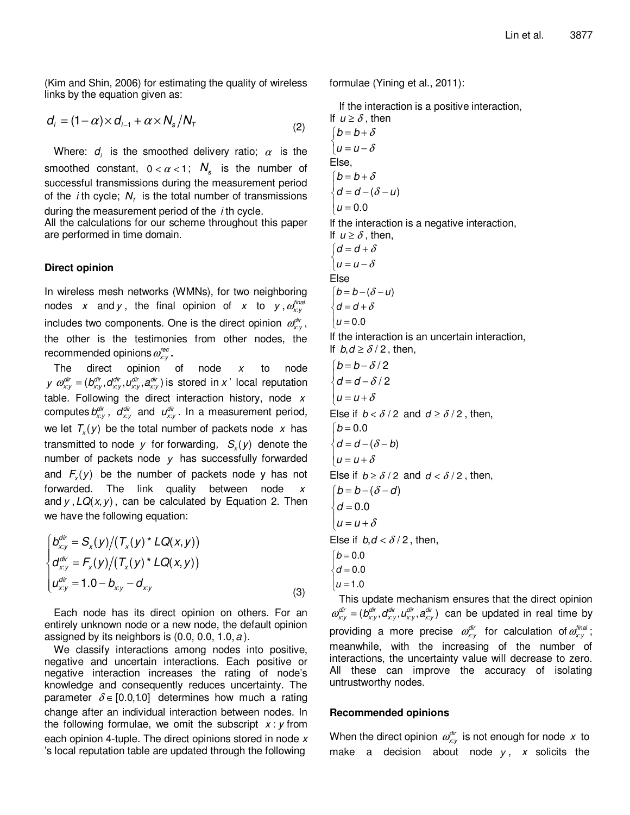(Kim and Shin, 2006) for estimating the quality of wireless links by the equation given as:

$$
d_i = (1 - \alpha) \times d_{i-1} + \alpha \times N_s / N_T \tag{2}
$$

Where:  $d_i$  is the smoothed delivery ratio;  $\alpha$  is the smoothed constant,  $0 < \alpha < 1$ ;  $N_s$  is the number of successful transmissions during the measurement period of the *i*th cycle;  $N_\tau$  is the total number of transmissions during the measurement period of the  $i$  th cycle.

All the calculations for our scheme throughout this paper are performed in time domain.

#### **Direct opinion**

In wireless mesh networks (WMNs), for two neighboring nodes  $x$  and  $y$ , the final opinion of  $x$  to  $y$ ,  $\mathit{\mathit{\mathit{\alpha}}}^{final}_{\mathit{\mathit{x}};\mathit{y}}$ includes two components. One is the direct opinion  $\varrho_{xy}^{\textit{dir}}$ , the other is the testimonies from other nodes, the recommended opinions  $\omega_{\scriptscriptstyle \!X\!:\!Y}^{\scriptscriptstyle \!I\!:\!e}$  .

The direct opinion of node  $x$  to node  $y \alpha_{xy}^{dir} = (b_{xy}^{dir}, d_{xy}^{dir}, d_{xy}^{dir}, a_{xy}^{dir})$  is stored in x' local reputation table. Following the direct interaction history, node  $x$ computes  $b_{x:y}^{dir}$ ,  $d_{x:y}^{dir}$  and  $u_{x:y}^{dir}$ . In a measurement period, we let  $T_x(y)$  be the total number of packets node x has transmitted to node y for forwarding,  $S_x(y)$  denote the number of packets node  $y$  has successfully forwarded and  $F_x(y)$  be the number of packets node y has not forwarded. The link quality between node  $x$ and  $y$ ,  $LQ(x, y)$ , can be calculated by Equation 2. Then we have the following equation:

$$
\begin{cases}\nD_{x:y}^{dir} = S_x(y)/(T_x(y)^* LQ(x,y)) \\
d_{x:y}^{dir} = F_x(y)/(T_x(y)^* LQ(x,y)) \\
u_{x:y}^{dir} = 1.0 - b_{x:y} - d_{x:y}\n\end{cases}
$$
\n(3)

Each node has its direct opinion on others. For an entirely unknown node or a new node, the default opinion assigned by its neighbors is  $(0.0, 0.0, 1.0, a)$ .

We classify interactions among nodes into positive, negative and uncertain interactions. Each positive or negative interaction increases the rating of node's knowledge and consequently reduces uncertainty. The parameter  $\delta \in [0.0, 1.0]$  determines how much a rating change after an individual interaction between nodes. In the following formulae, we omit the subscript  $x : y$  from each opinion 4-tuple. The direct opinions stored in node  $x$ 's local reputation table are updated through the following

formulae (Yining et al., 2011):

If the interaction is a positive interaction, If  $u \ge \delta$ , then  $\int_{0}^{b} b = b + \delta$  $\left\lfloor u=u-\delta\right\rfloor$ Else,  $\begin{cases} b = b + \delta \\ d = b + \delta \end{cases}$  $\begin{cases} d = d - (\delta - u) \end{cases}$  $u = 0.0$ If the interaction is a negative interaction, If  $u \geq \delta$ , then,  $\int_{0}^{a} d = d + \delta$  $\left\lfloor u=u-\delta\right\rfloor$ Else  $\begin{cases} b = b - (\delta - u) \\ d = u, \end{cases}$  $\{d = d + \delta\}$  $\left\vert u=0.0\right\vert$ If the interaction is an uncertain interaction, If  $b, d \ge \delta/2$ , then,  $\begin{cases} b = b - \delta/2 \\ d = b - \delta/6 \end{cases}$  $\left\{ d = d - \delta/2 \right.$  $\left\{ u = u + \delta \right.$ Else if  $b < \delta/2$  and  $d \ge \delta/2$ , then,  $\begin{cases} d = d - (\delta - b) \end{cases}$  $u = u + \delta$  $b = 0.0$ Else if  $b \ge \delta/2$  and  $d < \delta/2$ , then,  $\bigl(b = b - (\delta - d)\bigr)$  $\big| u = u + \delta$  $\overline{\phantom{a}}$  $\big\}\,$ d = 0.0 Else if  $b, d < \delta/2$ , then,  $b = 0.0$  $\int d=0.0$  $\left\vert u=1.0 \right\vert$ This update mechanism ensures that the direct opinion

 $\omega_{xy}^{dir} = (b_{xy}^{dir}, d_{xy}^{dir}, d_{xy}^{dir}, a_{xy}^{dir})$  can be updated in real time by providing a more precise  $\omega_{\scriptscriptstyle \chi_{\rm y}}^{\scriptscriptstyle \rm diff}$  for calculation of  $\omega_{\scriptscriptstyle \chi_{\rm y}}^{\scriptscriptstyle \rm final}$ ; meanwhile, with the increasing of the number of interactions, the uncertainty value will decrease to zero. All these can improve the accuracy of isolating untrustworthy nodes.

#### **Recommended opinions**

When the direct opinion  $\varrho_{xy}^{\textit{dir}}$  is not enough for node x to make a decision about node  $y$ , x solicits the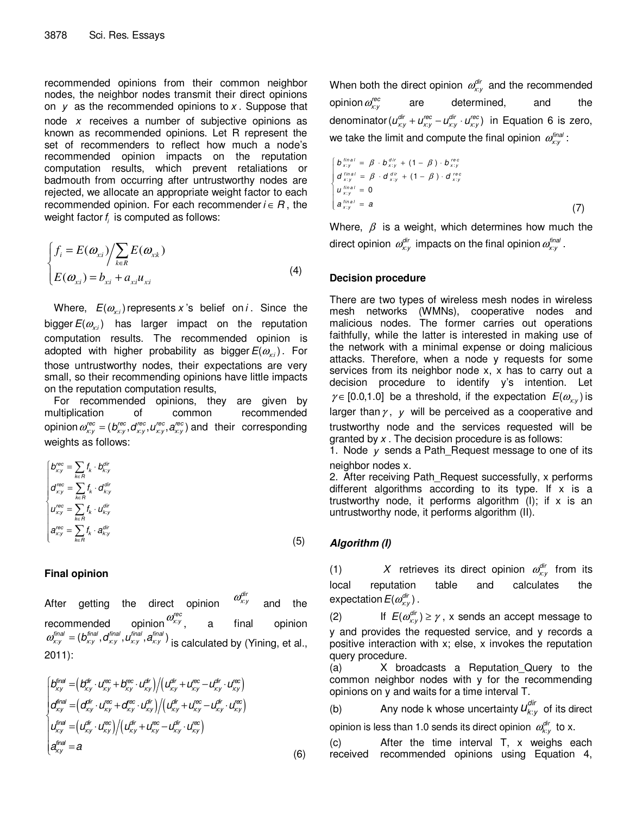recommended opinions from their common neighbor nodes, the neighbor nodes transmit their direct opinions on  $y$  as the recommended opinions to  $x$ . Suppose that node  $x$  receives a number of subjective opinions as known as recommended opinions. Let R represent the set of recommenders to reflect how much a node's recommended opinion impacts on the reputation computation results, which prevent retaliations or badmouth from occurring after untrustworthy nodes are rejected, we allocate an appropriate weight factor to each recommended opinion. For each recommender  $i \in R$ , the weight factor  $f_i$  is computed as follows:

$$
\begin{cases}\nf_i = E(\omega_{xi}) / \sum_{k \in R} E(\omega_{x_k}) \\
E(\omega_{xi}) = b_{xi} + a_{xi} u_{xi}\n\end{cases}
$$
\n(4)

Where,  $E(\omega_{\mathrm{xi}})$  represents x 's belief on i . Since the bigger  $E(\omega_{\scriptscriptstyle{\chi_i}})$  has larger impact on the reputation computation results. The recommended opinion is adopted with higher probability as bigger $E(\omega_{\scriptscriptstyle{\chi_i}})$ . For those untrustworthy nodes, their expectations are very small, so their recommending opinions have little impacts on the reputation computation results,

For recommended opinions, they are given by multiplication of common recommended opinion  $\omega_{xy}^{\text{rec}} = (b_{xy}^{\text{rec}}, d_{xy}^{\text{rec}}, u_{xy}^{\text{rec}}, a_{xy}^{\text{rec}})$  and their corresponding weights as follows:

$$
\begin{cases}\n b_{xy}^{rec} = \sum_{k \in R} f_k \cdot b_{ky}^{dir} \\
 d_{xy}^{rec} = \sum_{k \in R} f_k \cdot d_{ky}^{dir} \\
 u_{xy}^{rec} = \sum_{k \in R} f_k \cdot u_{ky}^{dir} \\
 a_{xy}^{rec} = \sum_{k \in R} f_k \cdot a_{ky}^{dir}\n\end{cases}
$$
\n(5)

## **Final opinion**

After getting the direct opinion  $\omega_{x:y}^{dir}$ and the recommended opinion $\mathscr{a}_{xy}^{\mathscr{C}ec}$ , a final opinion  $\omega_{x:y}^{\text{final}} = (b_{xy}^{\text{final}}, d_{xy}^{\text{final}}, u_{xy}^{\text{final}}, a_{xy}^{\text{final}})$  is calculated by (Yining, et al., 2011):

$$
\begin{cases}\n\int_{xy}^{\text{final}} = \left( \frac{B_{xy}^{\text{fr}}}{x_y} \cdot U_{xy}^{\text{cc}} + \frac{B_{xy}^{\text{cc}}}{x_y} \cdot U_{xy}^{\text{dr}} \right) / \left( U_{xy}^{\text{dr}} + U_{xy}^{\text{cc}} - U_{xy}^{\text{dr}} \cdot U_{xy}^{\text{cc}} \right) \\
\int_{xy}^{\text{final}} = \left( \frac{\sigma_{xy}^{\text{fr}}}{x_y} \cdot U_{xy}^{\text{cc}} + \frac{\sigma_{xy}^{\text{cc}}}{x_y} \cdot U_{xy}^{\text{dr}} \right) / \left( U_{xy}^{\text{fr}} + U_{xy}^{\text{cc}} - U_{xy}^{\text{fr}} \cdot U_{xy}^{\text{cc}} \right) \\
U_{xy}^{\text{final}} = \left( U_{xy}^{\text{dr}} \cdot U_{xy}^{\text{cc}} \right) / \left( U_{xy}^{\text{fr}} + U_{xy}^{\text{cc}} - U_{xy}^{\text{fr}} \cdot U_{xy}^{\text{cc}} \right) \\
\int_{xy}^{\text{final}} = a\n\end{cases} \tag{6}
$$

When both the direct opinion  $\omega_{xy}^{dir}$  and the recommended opinion  $\omega_{\!x:y}^\mathsf{rec}$ are determined, and the denominator  $(u_{xy}^{dir} + u_{xy}^{rec} - u_{xy}^{dir} \cdot u_{xy}^{rec})$  in Equation 6 is zero, we take the limit and compute the final opinion  $\varpi^{final}_{x:y}$  :

$$
\begin{cases}\nb \lim_{x,y} = \beta \cdot b \lim_{x,y} + (1 - \beta) \cdot b \lim_{x,y} \\
d \lim_{x,y} = \beta \cdot d \lim_{x,y} + (1 - \beta) \cdot d \lim_{x,y} \\
u \lim_{x,y} = 0 \\
a \lim_{x,y} = a\n\end{cases}
$$
\n(7)

Where,  $\beta$  is a weight, which determines how much the direct opinion  $\mathscr{A}_{\kappa:\jmath}^{\mathsf{dir}}$  impacts on the final opinion  $\mathscr{A}_{\kappa:\jmath}^{\mathsf{final}}$  .

## **Decision procedure**

There are two types of wireless mesh nodes in wireless mesh networks (WMNs), cooperative nodes and malicious nodes. The former carries out operations faithfully, while the latter is interested in making use of the network with a minimal expense or doing malicious attacks. Therefore, when a node y requests for some services from its neighbor node x, x has to carry out a decision procedure to identify y's intention. Let  $\gamma \in [0.0, 1.0]$  be a threshold, if the expectation  $E(\omega_{xy})$  is larger than  $\gamma$ , y will be perceived as a cooperative and trustworthy node and the services requested will be granted by  $x$ . The decision procedure is as follows: 1. Node  $y$  sends a Path Request message to one of its

neighbor nodes x. 2. After receiving Path Request successfully, x performs different algorithms according to its type. If  $x$  is a trustworthy node, it performs algorithm (I); if  $x$  is an untrustworthy node, it performs algorithm (II).

# **Algorithm (I)**

(1)  $X$  retrieves its direct opinion  $\omega_{xy}^{dir}$  from its local reputation table and calculates the expectation  $E(a_{x:y}^{dir})$  .

(2) If  $E(\omega_{x:y}^{dir}) \ge \gamma$ , x sends an accept message to y and provides the requested service, and y records a positive interaction with x; else, x invokes the reputation query procedure.

(a) X broadcasts a Reputation\_Query to the common neighbor nodes with y for the recommending opinions on y and waits for a time interval T.

(b) Any node k whose uncertainty  $u_{k:y}^{dir}$  of its direct opinion is less than 1.0 sends its direct opinion  $\varrho_{k; y}^{dir}$  to x.

(c) After the time interval T, x weighs each received recommended opinions using Equation 4,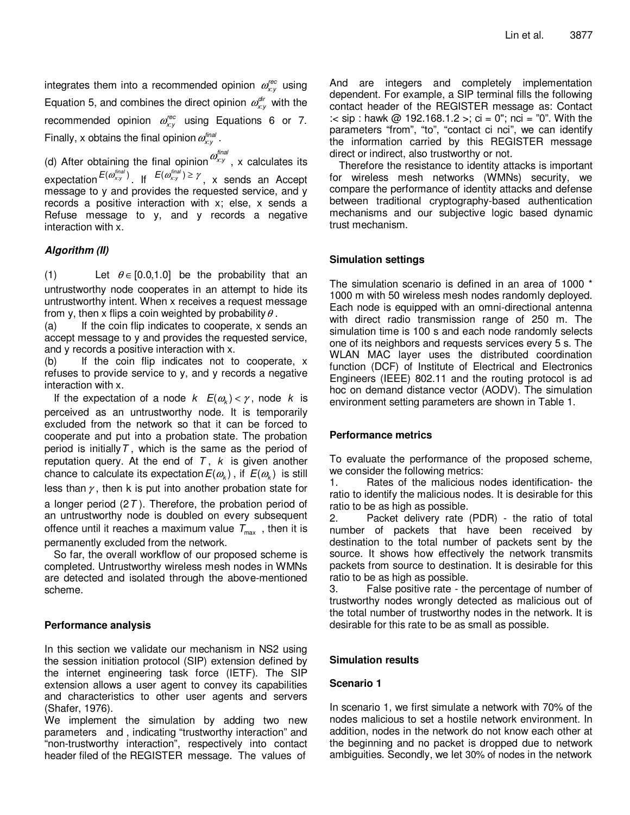integrates them into a recommended opinion  $\omega_{xy}^{rec}$  using Equation 5, and combines the direct opinion  $\omega_{xy}^{\text{dir}}$  with the recommended opinion  $\omega_{xy}^{\text{rec}}$  using Equations 6 or 7. Finally, x obtains the final opinion  $\omega_{\scriptscriptstyle \!\mathcal{X}:\mathcal{Y}}^{\scriptscriptstyle \mathit{final}}$  .

(d) After obtaining the final opinion  $\omega^{final}_{x:y}$  , x calculates its expectation  $E(\omega_{xy}^{final})$ . If  $E(\omega_{xy}^{final}) \geq \gamma$ , x sends an Accept message to y and provides the requested service, and y records a positive interaction with x; else, x sends a Refuse message to y, and y records a negative interaction with x.

## **Algorithm (II)**

(1) Let  $\theta \in [0.0, 1.0]$  be the probability that an untrustworthy node cooperates in an attempt to hide its untrustworthy intent. When x receives a request message from y, then x flips a coin weighted by probability  $\theta$ .

(a) If the coin flip indicates to cooperate, x sends an accept message to y and provides the requested service, and y records a positive interaction with x.

(b) If the coin flip indicates not to cooperate, x refuses to provide service to y, and y records a negative interaction with x.

If the expectation of a node  $k$   $E(\omega_k) < \gamma$ , node k is perceived as an untrustworthy node. It is temporarily excluded from the network so that it can be forced to cooperate and put into a probation state. The probation period is initially  $T$ , which is the same as the period of reputation query. At the end of  $T$ ,  $k$  is given another chance to calculate its expectation  $E(\omega_{\scriptscriptstyle{k}})$  , if  $\,E(\omega_{\scriptscriptstyle{k}})\,$  is still less than  $\gamma$ , then k is put into another probation state for

a longer period  $(2T)$ . Therefore, the probation period of an untrustworthy node is doubled on every subsequent offence until it reaches a maximum value  $T_{\text{max}}$ , then it is permanently excluded from the network.

So far, the overall workflow of our proposed scheme is completed. Untrustworthy wireless mesh nodes in WMNs are detected and isolated through the above-mentioned scheme.

## **Performance analysis**

In this section we validate our mechanism in NS2 using the session initiation protocol (SIP) extension defined by the internet engineering task force (IETF). The SIP extension allows a user agent to convey its capabilities and characteristics to other user agents and servers (Shafer, 1976).

We implement the simulation by adding two new parameters and , indicating "trustworthy interaction" and "non-trustworthy interaction", respectively into contact header filed of the REGISTER message. The values of And are integers and completely implementation dependent. For example, a SIP terminal fills the following contact header of the REGISTER message as: Contact :  $\le$  sip : hawk @ 192.168.1.2 >; ci = 0"; nci = "0". With the parameters "from", "to", "contact ci nci", we can identify the information carried by this REGISTER message direct or indirect, also trustworthy or not.

Therefore the resistance to identity attacks is important for wireless mesh networks (WMNs) security, we compare the performance of identity attacks and defense between traditional cryptography-based authentication mechanisms and our subjective logic based dynamic trust mechanism.

## **Simulation settings**

The simulation scenario is defined in an area of 1000 \* 1000 m with 50 wireless mesh nodes randomly deployed. Each node is equipped with an omni-directional antenna with direct radio transmission range of 250 m. The simulation time is 100 s and each node randomly selects one of its neighbors and requests services every 5 s. The WLAN MAC layer uses the distributed coordination function (DCF) of Institute of Electrical and Electronics Engineers (IEEE) 802.11 and the routing protocol is ad hoc on demand distance vector (AODV). The simulation environment setting parameters are shown in Table 1.

## **Performance metrics**

To evaluate the performance of the proposed scheme, we consider the following metrics:

1. Rates of the malicious nodes identification- the ratio to identify the malicious nodes. It is desirable for this ratio to be as high as possible.

2. Packet delivery rate (PDR) - the ratio of total number of packets that have been received by destination to the total number of packets sent by the source. It shows how effectively the network transmits packets from source to destination. It is desirable for this ratio to be as high as possible.

3. False positive rate - the percentage of number of trustworthy nodes wrongly detected as malicious out of the total number of trustworthy nodes in the network. It is desirable for this rate to be as small as possible.

## **Simulation results**

## **Scenario 1**

In scenario 1, we first simulate a network with 70% of the nodes malicious to set a hostile network environment. In addition, nodes in the network do not know each other at the beginning and no packet is dropped due to network ambiguities. Secondly, we let 30% of nodes in the network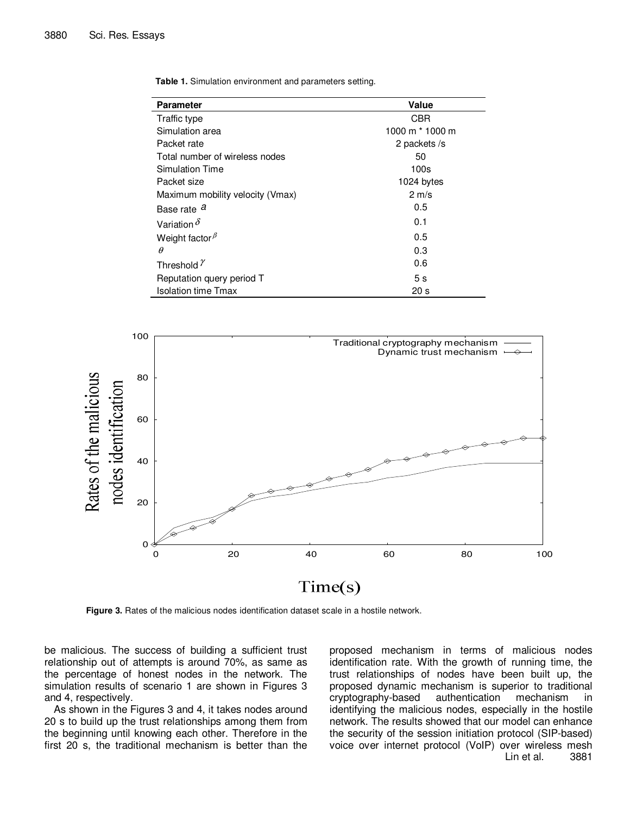| <b>Parameter</b>                 | Value           |
|----------------------------------|-----------------|
| Traffic type                     | CBR.            |
| Simulation area                  | 1000 m * 1000 m |
| Packet rate                      | 2 packets /s    |
| Total number of wireless nodes   | 50              |
| Simulation Time                  | 100s            |
| Packet size                      | 1024 bytes      |
| Maximum mobility velocity (Vmax) | $2 \text{ m/s}$ |
| Base rate <sup>a</sup>           | 0.5             |
| Variation $\delta$               | 0.1             |
| Weight factor $\beta$            | 0.5             |
| $\theta$                         | 0.3             |
| Threshold $\gamma$               | 0.6             |
| Reputation query period T        | 5s              |
| <b>Isolation time Tmax</b>       | 20 <sub>s</sub> |

**Table 1.** Simulation environment and parameters setting.



**Figure 3.** Rates of the malicious nodes identification dataset scale in a hostile network.

be malicious. The success of building a sufficient trust relationship out of attempts is around 70%, as same as the percentage of honest nodes in the network. The simulation results of scenario 1 are shown in Figures 3 and 4, respectively.

As shown in the Figures 3 and 4, it takes nodes around 20 s to build up the trust relationships among them from the beginning until knowing each other. Therefore in the first 20 s, the traditional mechanism is better than the proposed mechanism in terms of malicious nodes identification rate. With the growth of running time, the trust relationships of nodes have been built up, the proposed dynamic mechanism is superior to traditional cryptography-based authentication mechanism in identifying the malicious nodes, especially in the hostile network. The results showed that our model can enhance the security of the session initiation protocol (SIP-based) voice over internet protocol (VoIP) over wireless mesh Lin et al. 3881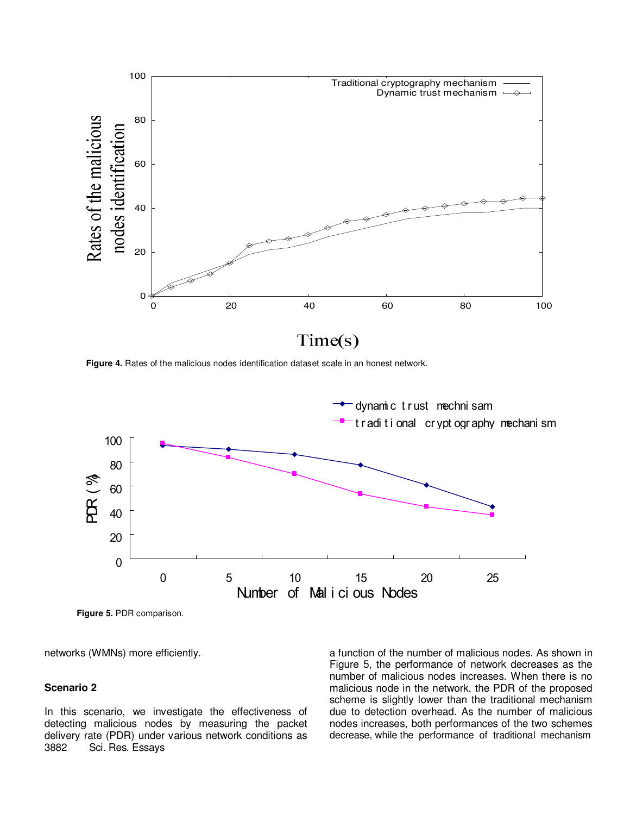

**Figure 4.** Rates of the malicious nodes identification dataset scale in an honest network.



**Figure 5.** PDR comparison.

networks (WMNs) more efficiently.

#### **Scenario 2**

In this scenario, we investigate the effectiveness of detecting malicious nodes by measuring the packet delivery rate (PDR) under various network conditions as 3882 Sci. Res. Essays

a function of the number of malicious nodes. As shown in Figure 5, the performance of network decreases as the number of malicious nodes increases. When there is no malicious node in the network, the PDR of the proposed scheme is slightly lower than the traditional mechanism due to detection overhead. As the number of malicious nodes increases, both performances of the two schemes decrease, while the performance of traditional mechanism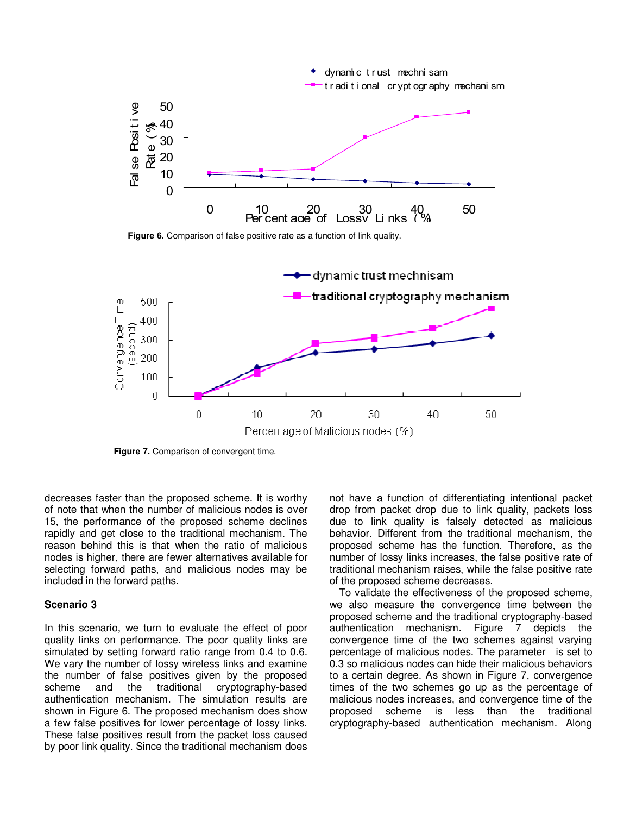

**Figure 6.** Comparison of false positive rate as a function of link quality.



**Figure 7.** Comparison of convergent time.

decreases faster than the proposed scheme. It is worthy of note that when the number of malicious nodes is over 15, the performance of the proposed scheme declines rapidly and get close to the traditional mechanism. The reason behind this is that when the ratio of malicious nodes is higher, there are fewer alternatives available for selecting forward paths, and malicious nodes may be included in the forward paths.

#### **Scenario 3**

In this scenario, we turn to evaluate the effect of poor quality links on performance. The poor quality links are simulated by setting forward ratio range from 0.4 to 0.6. We vary the number of lossy wireless links and examine the number of false positives given by the proposed scheme and the traditional cryptography-based authentication mechanism. The simulation results are shown in Figure 6. The proposed mechanism does show a few false positives for lower percentage of lossy links. These false positives result from the packet loss caused by poor link quality. Since the traditional mechanism does

not have a function of differentiating intentional packet drop from packet drop due to link quality, packets loss due to link quality is falsely detected as malicious behavior. Different from the traditional mechanism, the proposed scheme has the function. Therefore, as the number of lossy links increases, the false positive rate of traditional mechanism raises, while the false positive rate of the proposed scheme decreases.

To validate the effectiveness of the proposed scheme, we also measure the convergence time between the proposed scheme and the traditional cryptography-based authentication mechanism. Figure 7 depicts the convergence time of the two schemes against varying percentage of malicious nodes. The parameter is set to 0.3 so malicious nodes can hide their malicious behaviors to a certain degree. As shown in Figure 7, convergence times of the two schemes go up as the percentage of malicious nodes increases, and convergence time of the proposed scheme is less than the traditional cryptography-based authentication mechanism. Along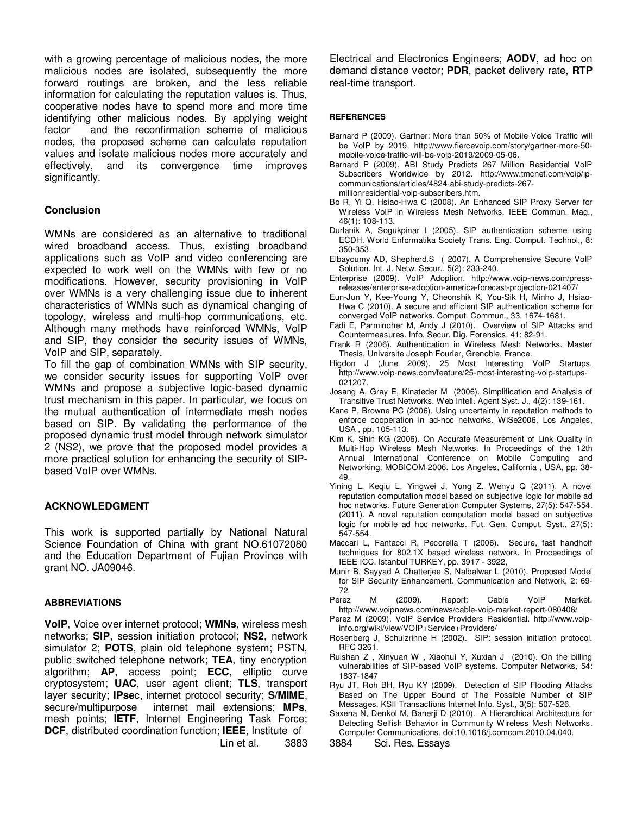with a growing percentage of malicious nodes, the more malicious nodes are isolated, subsequently the more forward routings are broken, and the less reliable information for calculating the reputation values is. Thus, cooperative nodes have to spend more and more time identifying other malicious nodes. By applying weight factor and the reconfirmation scheme of malicious nodes, the proposed scheme can calculate reputation values and isolate malicious nodes more accurately and effectively, and its convergence time improves significantly.

## **Conclusion**

WMNs are considered as an alternative to traditional wired broadband access. Thus, existing broadband applications such as VoIP and video conferencing are expected to work well on the WMNs with few or no modifications. However, security provisioning in VoIP over WMNs is a very challenging issue due to inherent characteristics of WMNs such as dynamical changing of topology, wireless and multi-hop communications, etc. Although many methods have reinforced WMNs, VoIP and SIP, they consider the security issues of WMNs, VoIP and SIP, separately.

To fill the gap of combination WMNs with SIP security, we consider security issues for supporting VoIP over WMNs and propose a subjective logic-based dynamic trust mechanism in this paper. In particular, we focus on the mutual authentication of intermediate mesh nodes based on SIP. By validating the performance of the proposed dynamic trust model through network simulator 2 (NS2), we prove that the proposed model provides a more practical solution for enhancing the security of SIPbased VoIP over WMNs.

## **ACKNOWLEDGMENT**

This work is supported partially by National Natural Science Foundation of China with grant NO.61072080 and the Education Department of Fujian Province with grant NO. JA09046.

## **ABBREVIATIONS**

**VoIP**, Voice over internet protocol; **WMNs**, wireless mesh networks; **SIP**, session initiation protocol; **NS2**, network simulator 2; **POTS**, plain old telephone system; PSTN, public switched telephone network; **TEA**, tiny encryption algorithm; **AP**, access point; **ECC**, elliptic curve cryptosystem; **UAC**, user agent client; **TLS**, transport layer security; **IPse**c, internet protocol security; **S/MIME**, secure/multipurpose internet mail extensions; **MPs**, mesh points; **IETF**, Internet Engineering Task Force; **DCF**, distributed coordination function; **IEEE**, Institute of Lin et al. 3883 Electrical and Electronics Engineers; **AODV**, ad hoc on demand distance vector; **PDR**, packet delivery rate, **RTP** real-time transport.

#### **REFERENCES**

- Barnard P (2009). Gartner: More than 50% of Mobile Voice Traffic will be VoIP by 2019. http://www.fiercevoip.com/story/gartner-more-50 mobile-voice-traffic-will-be-voip-2019/2009-05-06.
- Barnard P (2009). ABI Study Predicts 267 Million Residential VoIP Subscribers Worldwide by 2012. http://www.tmcnet.com/voip/ipcommunications/articles/4824-abi-study-predicts-267 millionresidential-voip-subscribers.htm.
- Bo R, Yi Q, Hsiao-Hwa C (2008). An Enhanced SIP Proxy Server for Wireless VoIP in Wireless Mesh Networks. IEEE Commun. Mag., 46(1): 108-113.
- Durlanik A, Sogukpinar I (2005). SIP authentication scheme using ECDH. World Enformatika Society Trans. Eng. Comput. Technol., 8: 350-353.
- Elbayoumy AD, Shepherd.S ( 2007). A Comprehensive Secure VoIP Solution. Int. J. Netw. Secur., 5(2): 233-240.
- Enterprise (2009). VoIP Adoption. http://www.voip-news.com/pressreleases/enterprise-adoption-america-forecast-projection-021407/
- Eun-Jun Y, Kee-Young Y, Cheonshik K, You-Sik H, Minho J, Hsiao-Hwa C (2010). A secure and efficient SIP authentication scheme for converged VoIP networks. Comput. Commun., 33, 1674-1681.
- Fadi E, Parmindher M, Andy J (2010). Overview of SIP Attacks and Countermeasures. Info. Secur. Dig. Forensics, 41: 82-91.
- Frank R (2006). Authentication in Wireless Mesh Networks. Master Thesis, Universite Joseph Fourier, Grenoble, France.
- Higdon J (June 2009). 25 Most Interesting VoIP Startups. http://www.voip-news.com/feature/25-most-interesting-voip-startups-021207.
- Josang A, Gray E, Kinateder M (2006). Simplification and Analysis of Transitive Trust Networks. Web Intell. Agent Syst. J., 4(2): 139-161.
- Kane P, Browne PC (2006). Using uncertainty in reputation methods to enforce cooperation in ad-hoc networks. WiSe2006, Los Angeles, USA , pp. 105-113.
- Kim K, Shin KG (2006). On Accurate Measurement of Link Quality in Multi-Hop Wireless Mesh Networks. In Proceedings of the 12th Annual International Conference on Mobile Computing and Networking, MOBICOM 2006. Los Angeles, California , USA, pp. 38- 49.
- Yining L, Keqiu L, Yingwei J, Yong Z, Wenyu Q (2011). A novel reputation computation model based on subjective logic for mobile ad hoc networks. Future Generation Computer Systems, 27(5): 547-554. (2011). A novel reputation computation model based on subjective logic for mobile ad hoc networks. Fut. Gen. Comput. Syst., 27(5): 547-554.
- Maccari L, Fantacci R, Pecorella T (2006). Secure, fast handhoff techniques for 802.1X based wireless network. In Proceedings of IEEE ICC. Istanbul TURKEY, pp. 3917 - 3922,
- Munir B, Sayyad A Chatterjee S, Nalbalwar L (2010). Proposed Model for SIP Security Enhancement. Communication and Network, 2: 69-
- 72.<br>Perez M (2009). Report: Cable VoIP Market. http://www.voipnews.com/news/cable-voip-market-report-080406/
- Perez M (2009). VoIP Service Providers Residential. http://www.voipinfo.org/wiki/view/VOIP+Service+Providers/
- Rosenberg J, Schulzrinne H (2002). SIP: session initiation protocol. RFC 3261.
- Ruishan Z , Xinyuan W , Xiaohui Y, Xuxian J (2010). On the billing vulnerabilities of SIP-based VoIP systems. Computer Networks, 54: 1837-1847
- Ryu JT, Roh BH, Ryu KY (2009). Detection of SIP Flooding Attacks Based on The Upper Bound of The Possible Number of SIP Messages, KSII Transactions Internet Info. Syst., 3(5): 507-526.
- Saxena N, Denkol M, Banerji D (2010). A Hierarchical Architecture for Detecting Selfish Behavior in Community Wireless Mesh Networks.
- Computer Communications. doi:10.1016/j.comcom.2010.04.040.<br>3884 – Sci. Res. Essays Sci. Res. Essays